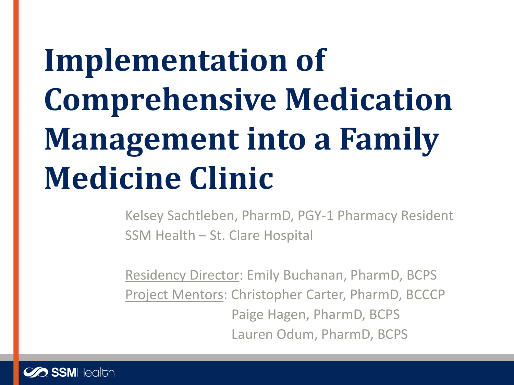# **Implementation of Comprehensive Medication Management into a Family Medicine Clinic**

Kelsey Sachtleben, PharmD, PGY-1 Pharmacy Resident SSM Health – St. Clare Hospital

Residency Director: Emily Buchanan, PharmD, BCPS Project Mentors: Christopher Carter, PharmD, BCCCP Paige Hagen, PharmD, BCPS Lauren Odum, PharmD, BCPS

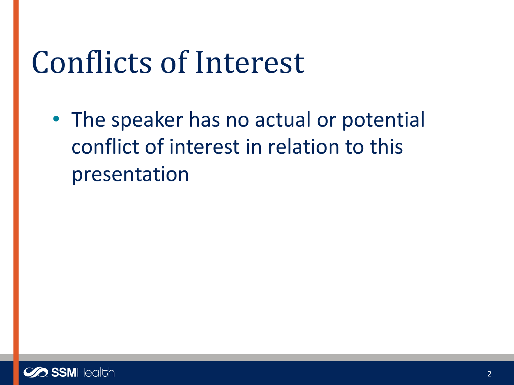## Conflicts of Interest

• The speaker has no actual or potential conflict of interest in relation to this presentation

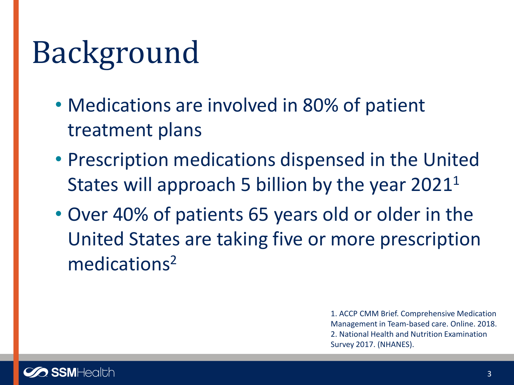## Background

- Medications are involved in 80% of patient treatment plans
- Prescription medications dispensed in the United States will approach 5 billion by the year 2021<sup>1</sup>
- Over 40% of patients 65 years old or older in the United States are taking five or more prescription medications<sup>2</sup>

1. ACCP CMM Brief. Comprehensive Medication Management in Team-based care. Online. 2018. 2. National Health and Nutrition Examination Survey 2017. (NHANES).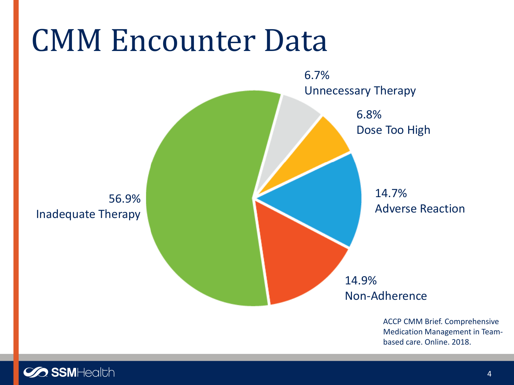#### CMM Encounter Data



#### **SSMHealth**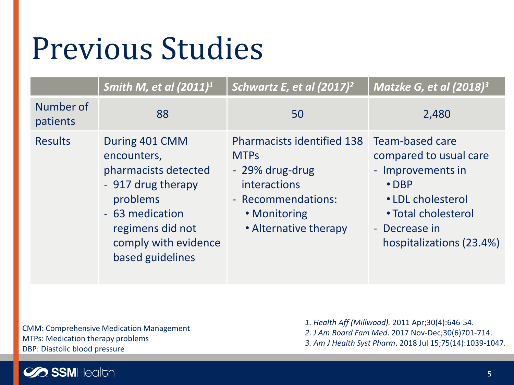## Previous Studies

|                       | Smith M, et al (2011) <sup>1</sup>                                                                                                                                         | Schwartz E, et al $(2017)^2$                                                                                                                       | Matzke G, et al $(2018)^3$                                                                                                                                             |
|-----------------------|----------------------------------------------------------------------------------------------------------------------------------------------------------------------------|----------------------------------------------------------------------------------------------------------------------------------------------------|------------------------------------------------------------------------------------------------------------------------------------------------------------------------|
| Number of<br>patients | 88                                                                                                                                                                         | 50                                                                                                                                                 | 2,480                                                                                                                                                                  |
| <b>Results</b>        | During 401 CMM<br>encounters,<br>pharmacists detected<br>- 917 drug therapy<br>problems<br>- 63 medication<br>regimens did not<br>comply with evidence<br>based guidelines | <b>Pharmacists identified 138</b><br><b>MTPs</b><br>- 29% drug-drug<br>interactions<br>- Recommendations:<br>• Monitoring<br>• Alternative therapy | Team-based care<br>compared to usual care<br>- Improvements in<br>$\cdot$ DBP<br>• LDL cholesterol<br>• Total cholesterol<br>- Decrease in<br>hospitalizations (23.4%) |

CMM: Comprehensive Medication Management MTPs: Medication therapy problems DBP: Diastolic blood pressure

*1. Health Aff (Millwood).* 2011 Apr;30(4):646-54. *2. J Am Board Fam Med*. 2017 Nov-Dec;30(6)701-714. *3. Am J Health Syst Pharm*. 2018 Jul 15;75(14):1039-1047.

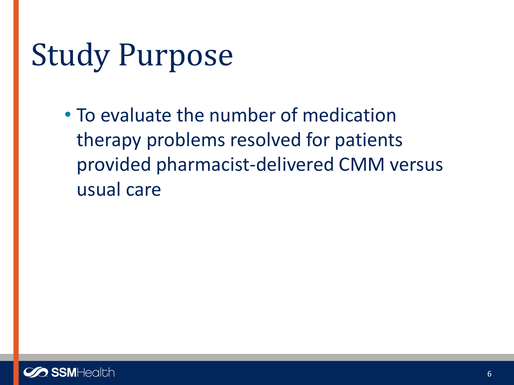## Study Purpose

• To evaluate the number of medication therapy problems resolved for patients provided pharmacist-delivered CMM versus usual care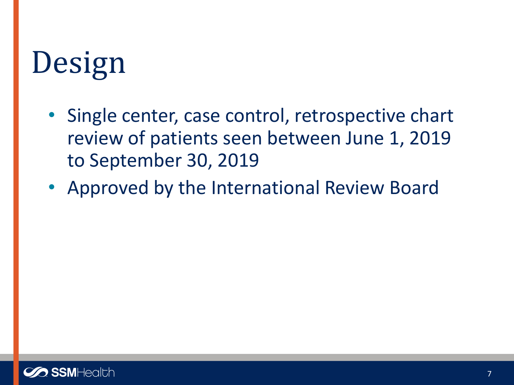## Design

- Single center, case control, retrospective chart review of patients seen between June 1, 2019 to September 30, 2019
- Approved by the International Review Board

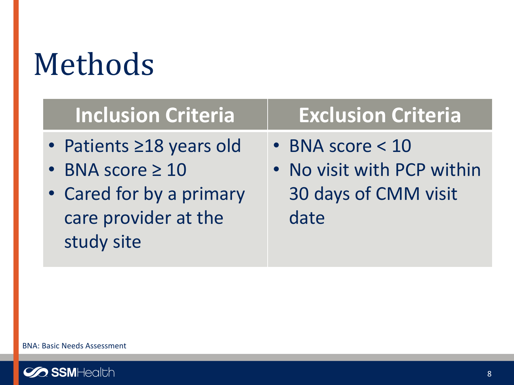## Methods

- Patients ≥18 years old
- BNA score  $\geq 10$
- Cared for by a primary care provider at the study site

#### **Inclusion Criteria Exclusion Criteria**

- BNA score < 10
- No visit with PCP within 30 days of CMM visit date

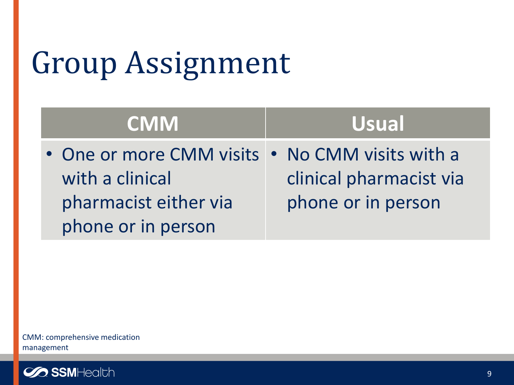## Group Assignment

| <b>CMM</b>                                      | <b>Usual</b>            |
|-------------------------------------------------|-------------------------|
| • One or more CMM visits • No CMM visits with a |                         |
| with a clinical                                 | clinical pharmacist via |
| pharmacist either via                           | phone or in person      |
| phone or in person                              |                         |

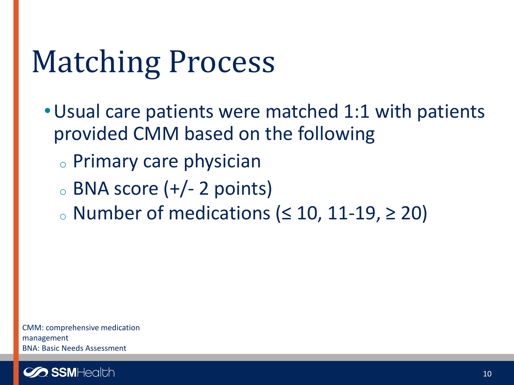## Matching Process

- •Usual care patients were matched 1:1 with patients provided CMM based on the following
	- <sup>o</sup> Primary care physician
	- $\circ$  BNA score (+/- 2 points)
	- $\circ$  Number of medications (≤ 10, 11-19, ≥ 20)

CMM: comprehensive medication management BNA: Basic Needs Assessment

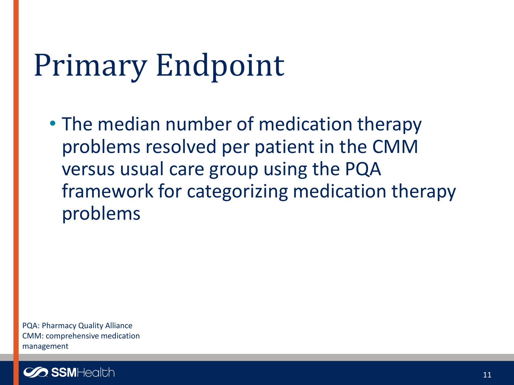## Primary Endpoint

• The median number of medication therapy problems resolved per patient in the CMM versus usual care group using the PQA framework for categorizing medication therapy problems

PQA: Pharmacy Quality Alliance CMM: comprehensive medication management

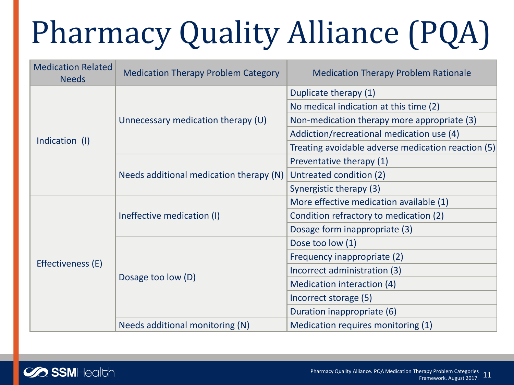# Pharmacy Quality Alliance (PQA)

| <b>Medication Related</b><br><b>Needs</b> | <b>Medication Therapy Problem Category</b> | <b>Medication Therapy Problem Rationale</b>        |
|-------------------------------------------|--------------------------------------------|----------------------------------------------------|
|                                           |                                            | Duplicate therapy (1)                              |
|                                           |                                            | No medical indication at this time (2)             |
|                                           | Unnecessary medication therapy (U)         | Non-medication therapy more appropriate (3)        |
| Indication (I)                            |                                            | Addiction/recreational medication use (4)          |
|                                           |                                            | Treating avoidable adverse medication reaction (5) |
|                                           |                                            | Preventative therapy (1)                           |
|                                           | Needs additional medication therapy (N)    | Untreated condition (2)                            |
|                                           |                                            | Synergistic therapy (3)                            |
|                                           |                                            | More effective medication available (1)            |
|                                           | Ineffective medication (I)                 | Condition refractory to medication (2)             |
|                                           |                                            | Dosage form inappropriate (3)                      |
|                                           |                                            | Dose too low (1)                                   |
|                                           |                                            | Frequency inappropriate (2)                        |
| Effectiveness (E)                         | Dosage too low (D)                         | Incorrect administration (3)                       |
|                                           |                                            | Medication interaction (4)                         |
|                                           |                                            | Incorrect storage (5)                              |
|                                           |                                            | Duration inappropriate (6)                         |
|                                           | Needs additional monitoring (N)            | Medication requires monitoring (1)                 |

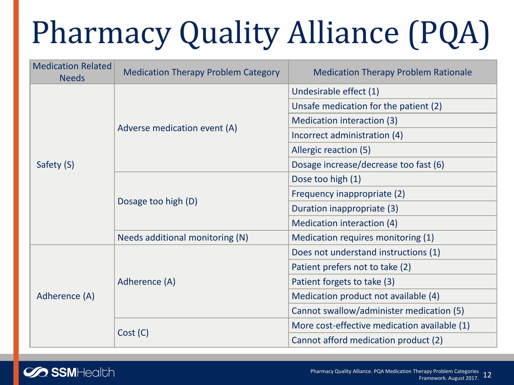## Pharmacy Quality Alliance (PQA)

| <b>Medication Related</b><br><b>Needs</b> | <b>Medication Therapy Problem Category</b> | <b>Medication Therapy Problem Rationale</b>  |
|-------------------------------------------|--------------------------------------------|----------------------------------------------|
|                                           |                                            | Undesirable effect (1)                       |
|                                           |                                            | Unsafe medication for the patient (2)        |
|                                           | Adverse medication event (A)               | Medication interaction (3)                   |
|                                           |                                            | Incorrect administration (4)                 |
|                                           |                                            | Allergic reaction (5)                        |
| Safety (S)                                |                                            | Dosage increase/decrease too fast (6)        |
|                                           |                                            | Dose too high (1)                            |
|                                           | Dosage too high (D)                        | Frequency inappropriate (2)                  |
|                                           |                                            | Duration inappropriate (3)                   |
|                                           |                                            | Medication interaction (4)                   |
|                                           | Needs additional monitoring (N)            | Medication requires monitoring (1)           |
|                                           |                                            | Does not understand instructions (1)         |
|                                           |                                            | Patient prefers not to take (2)              |
|                                           | Adherence (A)                              | Patient forgets to take (3)                  |
| Adherence (A)                             |                                            | Medication product not available (4)         |
|                                           |                                            | Cannot swallow/administer medication (5)     |
|                                           |                                            | More cost-effective medication available (1) |
|                                           | Cost (C)                                   | Cannot afford medication product (2)         |

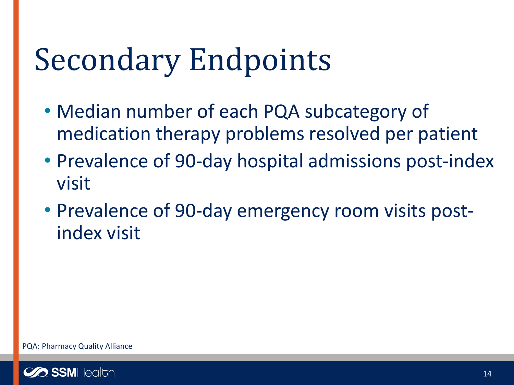## Secondary Endpoints

- Median number of each PQA subcategory of medication therapy problems resolved per patient
- Prevalence of 90-day hospital admissions post-index visit
- Prevalence of 90-day emergency room visits postindex visit

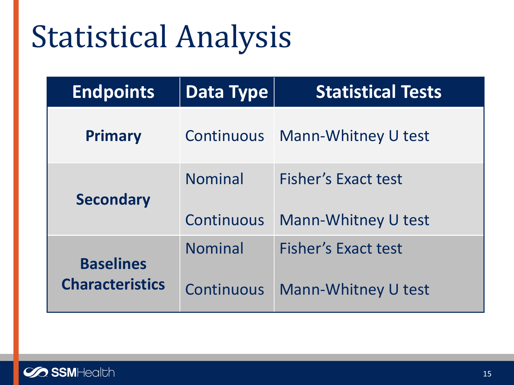## Statistical Analysis

| <b>Endpoints</b>                           | <b>Data Type</b>             | <b>Statistical Tests</b>                                 |
|--------------------------------------------|------------------------------|----------------------------------------------------------|
| <b>Primary</b>                             |                              | Continuous Mann-Whitney U test                           |
| <b>Secondary</b>                           | <b>Nominal</b><br>Continuous | <b>Fisher's Exact test</b><br><b>Mann-Whitney U test</b> |
| <b>Baselines</b><br><b>Characteristics</b> | <b>Nominal</b><br>Continuous | <b>Fisher's Exact test</b><br>Mann-Whitney U test        |

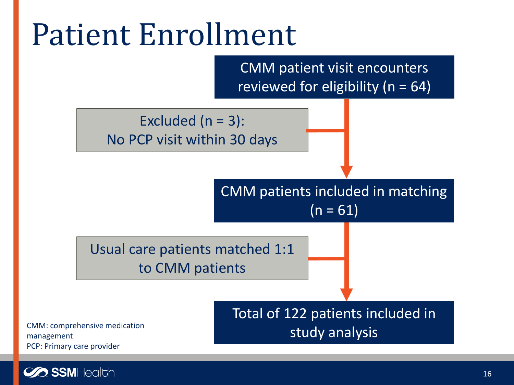## Patient Enrollment

CMM patient visit encounters reviewed for eligibility ( $n = 64$ )

Excluded (n = 3): No PCP visit within 30 days

> CMM patients included in matching  $(n = 61)$

Usual care patients matched 1:1 to CMM patients

> Total of 122 patients included in study analysis

CMM: comprehensive medication management PCP: Primary care provider

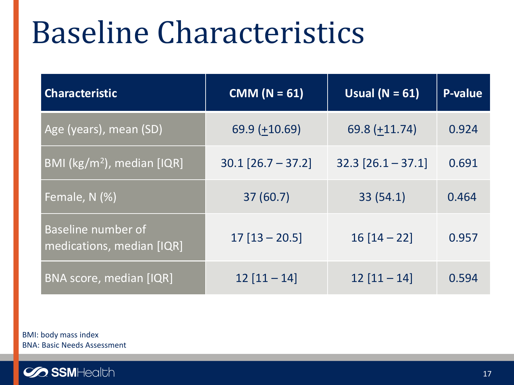## Baseline Characteristics

| <b>Characteristic</b>                           | CMM ( $N = 61$ )     | Usual ( $N = 61$ )     | P-value |
|-------------------------------------------------|----------------------|------------------------|---------|
| Age (years), mean (SD)                          | 69.9 (+10.69)        | $69.8 (+11.74)$        | 0.924   |
| BMI ( $\text{kg/m}^2$ ), median [IQR]           | $30.1$ [26.7 – 37.2] | $32.3$ $[26.1 - 37.1]$ | 0.691   |
| Female, N (%)                                   | 37(60.7)             | 33(54.1)               | 0.464   |
| Baseline number of<br>medications, median [IQR] | $17$ [13 - 20.5]     | $16[14-22]$            | 0.957   |
| <b>BNA score, median [IQR]</b>                  | $12$ [11 - 14]       | $12$ [11 - 14]         | 0.594   |

BMI: body mass index BNA: Basic Needs Assessment

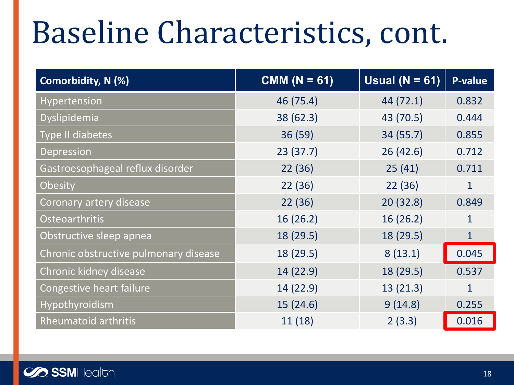## Baseline Characteristics, cont.

| Comorbidity, N (%)                    | CMM ( $N = 61$ ) | Usual ( $N = 61$ ) | P-value      |
|---------------------------------------|------------------|--------------------|--------------|
| Hypertension                          | 46 (75.4)        | 44(72.1)           | 0.832        |
| <b>Dyslipidemia</b>                   | 38(62.3)         | 43 (70.5)          | 0.444        |
| Type II diabetes                      | 36 (59)          | 34 (55.7)          | 0.855        |
| Depression                            | 23(37.7)         | 26(42.6)           | 0.712        |
| Gastroesophageal reflux disorder      | 22(36)           | 25(41)             | 0.711        |
| <b>Obesity</b>                        | 22(36)           | 22(36)             | $\mathbf{1}$ |
| Coronary artery disease               | 22(36)           | 20(32.8)           | 0.849        |
| <b>Osteoarthritis</b>                 | 16(26.2)         | 16(26.2)           | $\mathbf{1}$ |
| Obstructive sleep apnea               | 18 (29.5)        | 18 (29.5)          | $\mathbf{1}$ |
| Chronic obstructive pulmonary disease | 18 (29.5)        | 8(13.1)            | 0.045        |
| Chronic kidney disease                | 14 (22.9)        | 18 (29.5)          | 0.537        |
| Congestive heart failure              | 14 (22.9)        | 13(21.3)           | $\mathbf{1}$ |
| Hypothyroidism                        | 15(24.6)         | 9(14.8)            | 0.255        |
| <b>Rheumatoid arthritis</b>           | 11 (18)          | 2(3.3)             | 0.016        |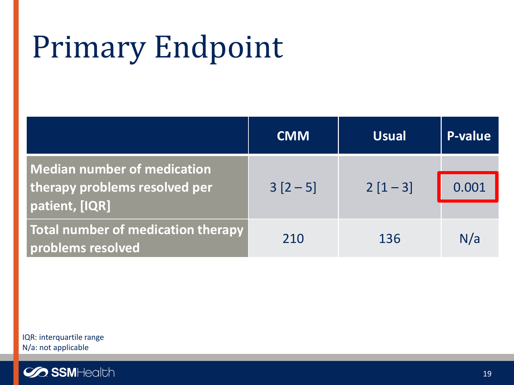## Primary Endpoint

|                                                                                       | <b>CMM</b> | <b>Usual</b> | <b>P-value</b> |
|---------------------------------------------------------------------------------------|------------|--------------|----------------|
| <b>Median number of medication</b><br>therapy problems resolved per<br>patient, [IQR] | $3[2-5]$   | $2[1-3]$     | 0.001          |
| Total number of medication therapy<br>problems resolved                               | 210        | 136          | N/a            |

IQR: interquartile range N/a: not applicable

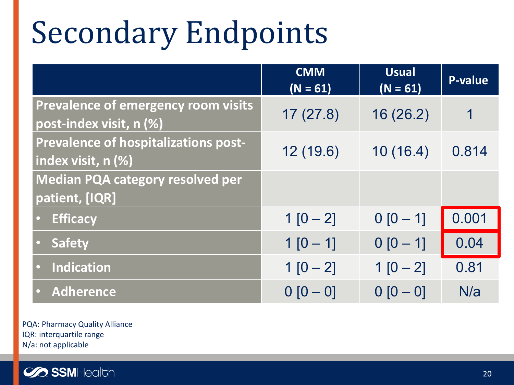## Secondary Endpoints

|                                                                   | <b>CMM</b><br>$(N = 61)$ | <b>Usual</b><br>$(N = 61)$ | <b>P-value</b> |
|-------------------------------------------------------------------|--------------------------|----------------------------|----------------|
| Prevalence of emergency room visits<br>post-index visit, n (%)    | 17(27.8)                 | 16 (26.2)                  | 1              |
| <b>Prevalence of hospitalizations post-</b><br>index visit, n (%) | 12 (19.6)                | 10(16.4)                   | 0.814          |
| <b>Median PQA category resolved per</b><br>patient, [IQR]         |                          |                            |                |
| <b>Efficacy</b><br>$\bullet$                                      | $1[0-2]$                 | $0[0-1]$                   | 0.001          |
| <b>Safety</b>                                                     | $1[0-1]$                 | $0[0-1]$                   | 0.04           |
| Indication<br>$\bullet$                                           | $1 [0 - 2]$              | $1[0-2]$                   | 0.81           |
| Adherence                                                         | $0 [0 - 0]$              | $0 [0 - 0]$                | N/a            |

PQA: Pharmacy Quality Alliance IQR: interquartile range N/a: not applicable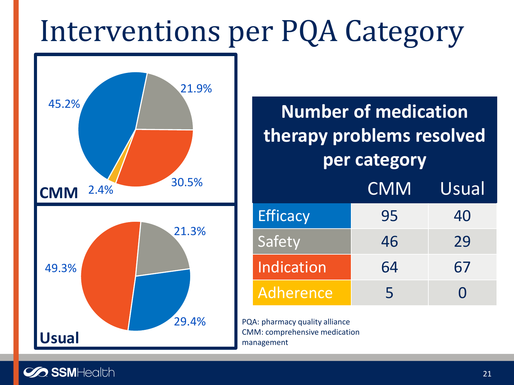#### Interventions per PQA Category



| <b>Number of medication</b><br>therapy problems resolved<br>per category |            |       |
|--------------------------------------------------------------------------|------------|-------|
|                                                                          | <b>CMM</b> | Usual |
| <b>Efficacy</b>                                                          | 95         | 40    |
| Safety                                                                   | 46         | 29    |
| Indication                                                               | 64         | 67    |
| Adherence                                                                | 5          | O     |

PQA: pharmacy quality alliance CMM: comprehensive medication management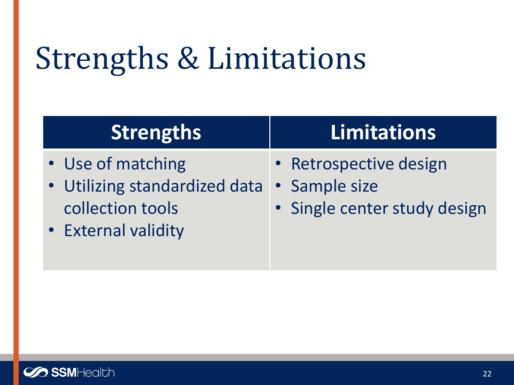## Strengths & Limitations

| <b>Strengths</b>                                                                              | <b>Limitations</b>                                                      |
|-----------------------------------------------------------------------------------------------|-------------------------------------------------------------------------|
| • Use of matching<br>• Utilizing standardized data<br>collection tools<br>• External validity | • Retrospective design<br>• Sample size<br>• Single center study design |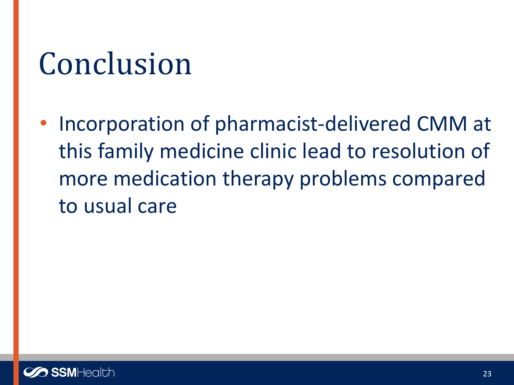## Conclusion

• Incorporation of pharmacist-delivered CMM at this family medicine clinic lead to resolution of more medication therapy problems compared to usual care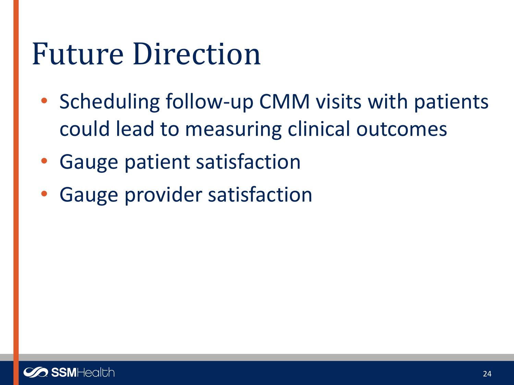#### Future Direction

- Scheduling follow-up CMM visits with patients could lead to measuring clinical outcomes
- Gauge patient satisfaction
- Gauge provider satisfaction